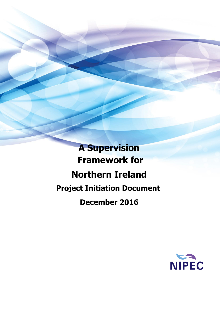**A Supervision Framework for Northern Ireland Project Initiation Document December 2016**

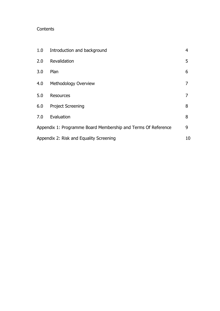## **Contents**

| 1.0                                     | Introduction and background                                   | 4 |
|-----------------------------------------|---------------------------------------------------------------|---|
| 2.0                                     | Revalidation                                                  | 5 |
| 3.0                                     | Plan                                                          | 6 |
| 4.0                                     | Methodology Overview                                          | 7 |
| 5.0                                     | <b>Resources</b>                                              | 7 |
| 6.0                                     | <b>Project Screening</b>                                      | 8 |
| 7.0                                     | Evaluation                                                    | 8 |
|                                         | Appendix 1: Programme Board Membership and Terms Of Reference | 9 |
| Appendix 2: Risk and Equality Screening |                                                               |   |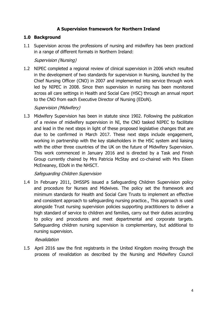## **A Supervision framework for Northern Ireland**

## **1.0 Background**

1.1 Supervision across the professions of nursing and midwifery has been practiced in a range of different formats in Northern Ireland:

## Supervision (Nursing)

1.2 NIPEC completed a regional review of clinical supervision in 2006 which resulted in the development of two standards for supervision in Nursing, launched by the Chief Nursing Officer (CNO) in 2007 and implemented into service through work led by NIPEC in 2008. Since then supervision in nursing has been monitored across all care settings in Health and Social Care (HSC) through an annual report to the CNO from each Executive Director of Nursing (EDoN).

### Supervision (Midwifery)

1.3 Midwifery Supervision has been in statute since 1902. Following the publication of a review of midwifery supervision in NI, the CNO tasked NIPEC to facilitate and lead in the next steps in light of these proposed legislative changes that are due to be confirmed in March 2017. These next steps include engagement, working in partnership with the key stakeholders in the HSC system and liaising with the other three countries of the UK on the future of Midwifery Supervision. This work commenced in January 2016 and is directed by a Task and Finish Group currently chaired by Mrs Patricia McStay and co-chaired with Mrs Eileen McEneaney, EDoN in the NHSCT.

## Safeguarding Children Supervision

1.4 In February 2011, DHSSPS issued a Safeguarding Children Supervision policy and procedure for Nurses and Midwives. The policy set the framework and minimum standards for Health and Social Care Trusts to implement an effective and consistent approach to safeguarding nursing practice., This approach is used alongside Trust nursing supervision policies supporting practitioners to deliver a high standard of service to children and families, carry out their duties according to policy and procedures and meet departmental and corporate targets. Safeguarding children nursing supervision is complementary, but additional to nursing supervision.

### Revalidation

1.5 April 2016 saw the first registrants in the United Kingdom moving through the process of revalidation as described by the Nursing and Midwifery Council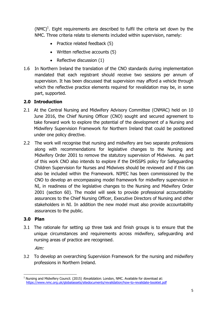$(NMC)^1$ . Eight requirements are described to fulfil the criteria set down by the NMC. Three criteria relate to elements included within supervision, namely:

- Practice related feedback  $(5)$
- Written reflective accounts (5)
- Reflective discussion (1)
- 1.6 In Northern Ireland the translation of the CNO standards during implementation mandated that each registrant should receive two sessions per annum of supervision. It has been discussed that supervision may afford a vehicle through which the reflective practice elements required for revalidation may be, in some part, supported.

## **2.0 Introduction**

- 2.1 At the Central Nursing and Midwifery Advisory Committee (CNMAC) held on 10 June 2016, the Chief Nursing Officer (CNO) sought and secured agreement to take forward work to explore the potential of the development of a Nursing and Midwifery Supervision Framework for Northern Ireland that could be positioned under one policy directive.
- 2.2 The work will recognise that nursing and midwifery are two separate professions along with recommendations for legislative changes to the Nursing and Midwifery Order 2001 to remove the statutory supervision of Midwives. As part of this work CNO also intends to explore if the DHSSPS policy for Safeguarding Children Supervision for Nurses and Midwives should be reviewed and if this can also be included within the Framework. NIPEC has been commissioned by the CNO to develop an encompassing model framework for midwifery supervision in NI, in readiness of the legislative changes to the Nursing and Midwifery Order 2001 (section 60). The model will seek to provide professional accountability assurances to the Chief Nursing Officer, Executive Directors of Nursing and other stakeholders in NI. In addition the new model must also provide accountability assurances to the public.

### **3.0 Plan**

3.1 The rationale for setting up three task and finish groups is to ensure that the unique circumstances and requirements across midwifery, safeguarding and nursing areas of practice are recognised.

Aim:

3.2 To develop an overarching Supervision Framework for the nursing and midwifery professions in Northern Ireland.

l  $1$  Nursing and Midwifery Council. (2015) Revalidation. London, NMC. Available for download at: <https://www.nmc.org.uk/globalassets/sitedocuments/revalidation/how-to-revalidate-booklet.pdf>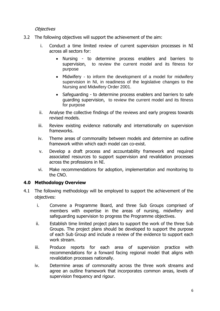### **Objectives**

- 3.2 The following objectives will support the achievement of the aim:
	- i. Conduct a time limited review of current supervision processes in NI across all sectors for:
		- Nursing to determine process enablers and barriers to supervision, to review the current model and its fitness for purpose
		- Midwifery to inform the development of a model for midwifery supervision in NI, in readiness of the legislative changes to the Nursing and Midwifery Order 2001.
		- Safeguarding to determine process enablers and barriers to safe guarding supervision, to review the current model and its fitness for purpose
	- ii. Analyse the collective findings of the reviews and early progress towards revised models.
	- iii. Review existing evidence nationally and internationally on supervision frameworks.
	- iv. Theme areas of commonality between models and determine an outline framework within which each model can co-exist.
	- v. Develop a draft process and accountability framework and required associated resources to support supervision and revalidation processes across the professions in NI.
	- vi. Make recommendations for adoption, implementation and monitoring to the CNO.

### **4.0 Methodology Overview**

- 4.1 The following methodology will be employed to support the achievement of the objectives:
	- i. Convene a Programme Board, and three Sub Groups comprised of members with expertise in the areas of nursing, midwifery and safeguarding supervision to progress the Programme objectives.
	- ii. Establish time limited project plans to support the work of the three Sub Groups. The project plans should be developed to support the purpose of each Sub Group and include a review of the evidence to support each work stream.
	- iii. Produce reports for each area of supervision practice with recommendations for a forward facing regional model that aligns with revalidation processes nationally.
	- iv. Determine areas of commonality across the three work streams and agree an outline framework that incorporates common areas, levels of supervision frequency and rigour.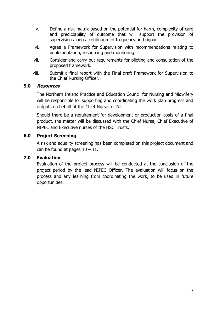- v. Define a risk matrix based on the potential for harm, complexity of care and predictability of outcome that will support the provision of supervision along a continuum of frequency and rigour.
- vi. Agree a Framework for Supervision with recommendations relating to implementation, resourcing and monitoring.
- vii. Consider and carry out requirements for piloting and consultation of the proposed framework.
- viii. Submit a final report with the Final draft Framework for Supervision to the Chief Nursing Officer.

### **5.0 Resources**

The Northern Ireland Practice and Education Council for Nursing and Midwifery will be responsible for supporting and coordinating the work plan progress and outputs on behalf of the Chief Nurse for NI.

Should there be a requirement for development or production costs of a final product, the matter will be discussed with the Chief Nurse, Chief Executive of NIPEC and Executive nurses of the HSC Trusts.

## **6.0 Project Screening**

A risk and equality screening has been completed on this project document and can be found at pages  $10 - 11$ .

### **7.0 Evaluation**

Evaluation of the project process will be conducted at the conclusion of the project period by the lead NIPEC Officer. The evaluation will focus on the process and any learning from coordinating the work, to be used in future opportunities.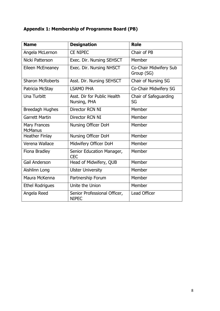## **Appendix 1: Membership of Programme Board (PB)**

| <b>Name</b>                           | <b>Designation</b>                           | <b>Role</b>                          |
|---------------------------------------|----------------------------------------------|--------------------------------------|
| Angela McLernon                       | <b>CE NIPEC</b>                              | Chair of PB                          |
| Nicki Patterson                       | Exec. Dir. Nursing SEHSCT                    | Member                               |
| Eileen McEneaney                      | Exec. Dir. Nursing NHSCT                     | Co-Chair Midwifery Sub<br>Group (SG) |
| <b>Sharon McRoberts</b>               | Asst. Dir. Nursing SEHSCT                    | Chair of Nursing SG                  |
| Patricia McStay                       | <b>LSAMO PHA</b>                             | Co-Chair Midwifery SG                |
| Una Turbitt                           | Asst. Dir for Public Health<br>Nursing, PHA  | Chair of Safeguarding<br>SG          |
| <b>Breedagh Hughes</b>                | Director RCN NI                              | Member                               |
| <b>Garrett Martin</b>                 | Director RCN NI                              | Member                               |
| <b>Mary Frances</b><br><b>McManus</b> | Nursing Officer DoH                          | Member                               |
| <b>Heather Finlay</b>                 | Nursing Officer DoH                          | Member                               |
| Verena Wallace                        | Midwifery Officer DoH                        | Member                               |
| Fiona Bradley                         | Senior Education Manager,<br><b>CEC</b>      | Member                               |
| <b>Gail Anderson</b>                  | Head of Midwifery, QUB                       | Member                               |
| Aishlinn Long                         | <b>Ulster University</b>                     | Member                               |
| Maura McKenna                         | Partnership Forum                            | Member                               |
| <b>Ethel Rodrigues</b>                | Unite the Union                              | Member                               |
| Angela Reed                           | Senior Professional Officer,<br><b>NIPEC</b> | <b>Lead Officer</b>                  |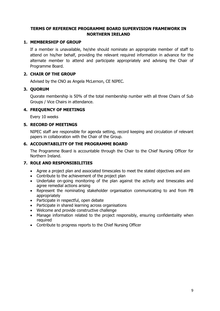### **TERMS OF REFERENCE PROGRAMME BOARD SUPERVISION FRAMEWORK IN NORTHERN IRELAND**

#### **1. MEMBERSHIP OF GROUP**

If a member is unavailable, he/she should nominate an appropriate member of staff to attend on his/her behalf, providing the relevant required information in advance for the alternate member to attend and participate appropriately and advising the Chair of Programme Board.

### **2. CHAIR OF THE GROUP**

Advised by the CNO as Angela McLernon, CE NIPEC.

### **3. QUORUM**

Quorate membership is 50% of the total membership number with all three Chairs of Sub Groups / Vice Chairs in attendance.

### **4. FREQUENCY OF MEETINGS**

Every 10 weeks

### **5. RECORD OF MEETINGS**

NIPEC staff are responsible for agenda setting, record keeping and circulation of relevant papers in collaboration with the Chair of the Group.

### **6. ACCOUNTABILITY OF THE PROGRAMME BOARD**

The Programme Board is accountable through the Chair to the Chief Nursing Officer for Northern Ireland.

### **7. ROLE AND RESPONSIBILITIES**

- Agree a project plan and associated timescales to meet the stated objectives and aim
- Contribute to the achievement of the project plan
- Undertake on-going monitoring of the plan against the activity and timescales and agree remedial actions arising
- Represent the nominating stakeholder organisation communicating to and from PB appropriately
- Participate in respectful, open debate
- Participate in shared learning across organisations
- Welcome and provide constructive challenge
- Manage information related to the project responsibly, ensuring confidentiality when required
- Contribute to progress reports to the Chief Nursing Officer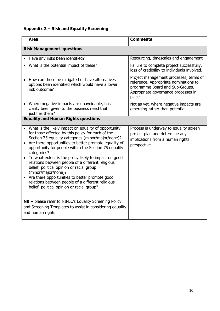# **Appendix 2 – Risk and Equality Screening**

|                                                                                                                                           | <b>Area</b>                                                                                                                                                                                                                                                                                                                                                                                                                                                                                                                                                                                                                               | Comments                                                                                                                                                            |  |  |  |
|-------------------------------------------------------------------------------------------------------------------------------------------|-------------------------------------------------------------------------------------------------------------------------------------------------------------------------------------------------------------------------------------------------------------------------------------------------------------------------------------------------------------------------------------------------------------------------------------------------------------------------------------------------------------------------------------------------------------------------------------------------------------------------------------------|---------------------------------------------------------------------------------------------------------------------------------------------------------------------|--|--|--|
| <b>Risk Management questions</b>                                                                                                          |                                                                                                                                                                                                                                                                                                                                                                                                                                                                                                                                                                                                                                           |                                                                                                                                                                     |  |  |  |
|                                                                                                                                           | Have any risks been identified?                                                                                                                                                                                                                                                                                                                                                                                                                                                                                                                                                                                                           | Resourcing, timescales and engagement                                                                                                                               |  |  |  |
|                                                                                                                                           | • What is the potential impact of these?                                                                                                                                                                                                                                                                                                                                                                                                                                                                                                                                                                                                  | Failure to complete project successfully,<br>loss of credibility to individuals involved.                                                                           |  |  |  |
|                                                                                                                                           | How can these be mitigated or have alternatives<br>options been identified which would have a lower<br>risk outcome?                                                                                                                                                                                                                                                                                                                                                                                                                                                                                                                      | Project management processes, terms of<br>reference. Appropriate nominations to<br>programme Board and Sub-Groups.<br>Appropriate governance processes in<br>place. |  |  |  |
| $\bullet$                                                                                                                                 | Where negative impacts are unavoidable, has<br>clarity been given to the business need that<br>justifies them?                                                                                                                                                                                                                                                                                                                                                                                                                                                                                                                            | Not as yet, where negative impacts are<br>emerging rather than potential.                                                                                           |  |  |  |
| <b>Equality and Human Rights questions</b>                                                                                                |                                                                                                                                                                                                                                                                                                                                                                                                                                                                                                                                                                                                                                           |                                                                                                                                                                     |  |  |  |
|                                                                                                                                           | • What is the likely impact on equality of opportunity<br>for those affected by this policy for each of the<br>Section 75 equality categories (minor/major/none)?<br>Are there opportunities to better promote equality of<br>opportunity for people within the Section 75 equality<br>categories?<br>To what extent is the policy likely to impact on good<br>relations between people of a different religious<br>belief, political opinion or racial group<br>(minor/major/none)?<br>Are there opportunities to better promote good<br>relations between people of a different religious<br>belief, political opinion or racial group? | Process is underway to equality screen<br>project plan and determine any<br>implications from a human rights<br>perspective.                                        |  |  |  |
| $NB$ – please refer to NIPEC's Equality Screening Policy<br>and Screening Templates to assist in considering equality<br>and human rights |                                                                                                                                                                                                                                                                                                                                                                                                                                                                                                                                                                                                                                           |                                                                                                                                                                     |  |  |  |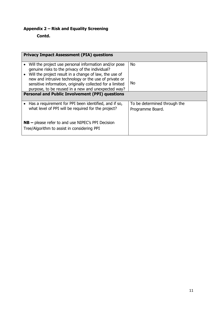## **Appendix 2 – Risk and Equality Screening**

**Contd.** 

| <b>Privacy Impact Assessment (PIA) questions</b>                                                                   |                              |  |  |  |
|--------------------------------------------------------------------------------------------------------------------|------------------------------|--|--|--|
| Will the project use personal information and/or pose<br>genuine risks to the privacy of the individual?           | <b>No</b>                    |  |  |  |
| Will the project result in a change of law, the use of                                                             |                              |  |  |  |
| new and intrusive technology or the use of private or<br>sensitive information, originally collected for a limited | No                           |  |  |  |
| purpose, to be reused in a new and unexpected way?                                                                 |                              |  |  |  |
| <b>Personal and Public Involvement (PPI) questions</b>                                                             |                              |  |  |  |
| Has a requirement for PPI been identified, and if so,                                                              | To be determined through the |  |  |  |
| what level of PPI will be required for the project?                                                                | Programme Board.             |  |  |  |
| $NB$ – please refer to and use NIPEC's PPI Decision<br>Tree/Algorithm to assist in considering PPI                 |                              |  |  |  |